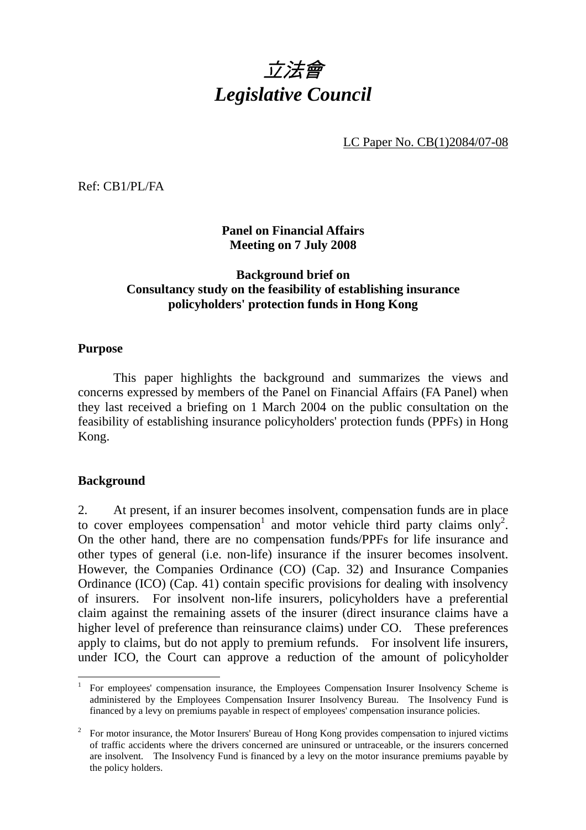

LC Paper No. CB(1)2084/07-08

Ref: CB1/PL/FA

**Panel on Financial Affairs Meeting on 7 July 2008** 

### **Background brief on Consultancy study on the feasibility of establishing insurance policyholders' protection funds in Hong Kong**

#### **Purpose**

 This paper highlights the background and summarizes the views and concerns expressed by members of the Panel on Financial Affairs (FA Panel) when they last received a briefing on 1 March 2004 on the public consultation on the feasibility of establishing insurance policyholders' protection funds (PPFs) in Hong Kong.

#### **Background**

 $\overline{a}$ 

2. At present, if an insurer becomes insolvent, compensation funds are in place to cover employees compensation<sup>1</sup> and motor vehicle third party claims only<sup>2</sup>. On the other hand, there are no compensation funds/PPFs for life insurance and other types of general (i.e. non-life) insurance if the insurer becomes insolvent. However, the Companies Ordinance (CO) (Cap. 32) and Insurance Companies Ordinance (ICO) (Cap. 41) contain specific provisions for dealing with insolvency of insurers. For insolvent non-life insurers, policyholders have a preferential claim against the remaining assets of the insurer (direct insurance claims have a higher level of preference than reinsurance claims) under CO. These preferences apply to claims, but do not apply to premium refunds. For insolvent life insurers, under ICO, the Court can approve a reduction of the amount of policyholder

<sup>1</sup> For employees' compensation insurance, the Employees Compensation Insurer Insolvency Scheme is administered by the Employees Compensation Insurer Insolvency Bureau. The Insolvency Fund is financed by a levy on premiums payable in respect of employees' compensation insurance policies.

<sup>2</sup> For motor insurance, the Motor Insurers' Bureau of Hong Kong provides compensation to injured victims of traffic accidents where the drivers concerned are uninsured or untraceable, or the insurers concerned are insolvent. The Insolvency Fund is financed by a levy on the motor insurance premiums payable by the policy holders.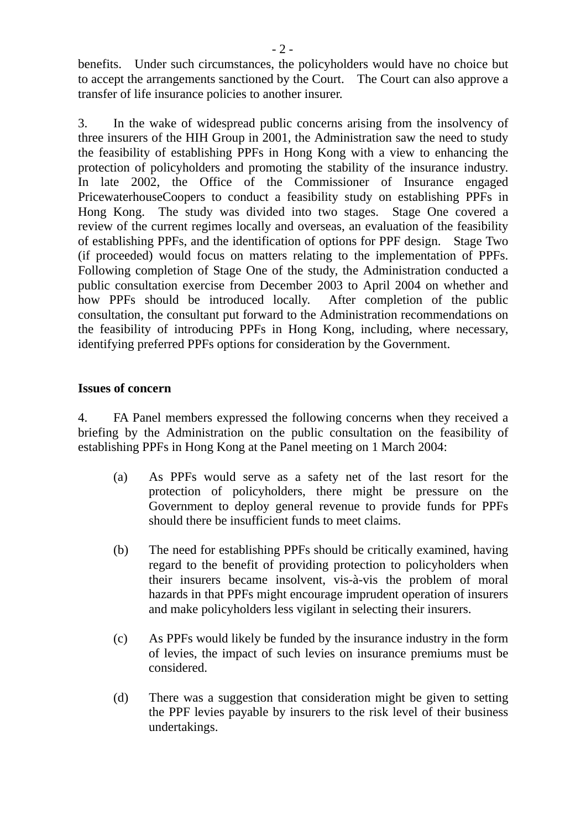benefits. Under such circumstances, the policyholders would have no choice but to accept the arrangements sanctioned by the Court. The Court can also approve a transfer of life insurance policies to another insurer.

3. In the wake of widespread public concerns arising from the insolvency of three insurers of the HIH Group in 2001, the Administration saw the need to study the feasibility of establishing PPFs in Hong Kong with a view to enhancing the protection of policyholders and promoting the stability of the insurance industry. In late 2002, the Office of the Commissioner of Insurance engaged PricewaterhouseCoopers to conduct a feasibility study on establishing PPFs in Hong Kong. The study was divided into two stages. Stage One covered a review of the current regimes locally and overseas, an evaluation of the feasibility of establishing PPFs, and the identification of options for PPF design. Stage Two (if proceeded) would focus on matters relating to the implementation of PPFs. Following completion of Stage One of the study, the Administration conducted a public consultation exercise from December 2003 to April 2004 on whether and how PPFs should be introduced locally. After completion of the public consultation, the consultant put forward to the Administration recommendations on the feasibility of introducing PPFs in Hong Kong, including, where necessary, identifying preferred PPFs options for consideration by the Government.

#### **Issues of concern**

4. FA Panel members expressed the following concerns when they received a briefing by the Administration on the public consultation on the feasibility of establishing PPFs in Hong Kong at the Panel meeting on 1 March 2004:

- (a) As PPFs would serve as a safety net of the last resort for the protection of policyholders, there might be pressure on the Government to deploy general revenue to provide funds for PPFs should there be insufficient funds to meet claims.
- (b) The need for establishing PPFs should be critically examined, having regard to the benefit of providing protection to policyholders when their insurers became insolvent, vis-à-vis the problem of moral hazards in that PPFs might encourage imprudent operation of insurers and make policyholders less vigilant in selecting their insurers.
- (c) As PPFs would likely be funded by the insurance industry in the form of levies, the impact of such levies on insurance premiums must be considered.
- (d) There was a suggestion that consideration might be given to setting the PPF levies payable by insurers to the risk level of their business undertakings.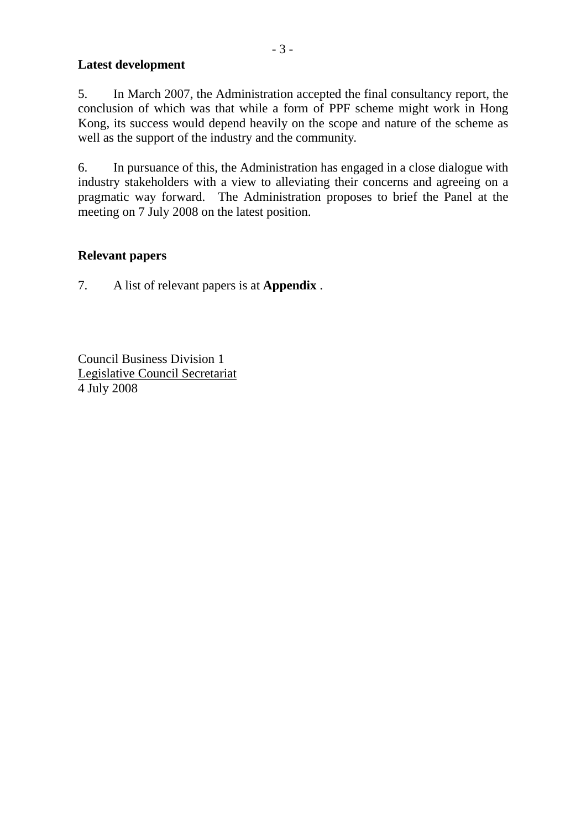## **Latest development**

5. In March 2007, the Administration accepted the final consultancy report, the conclusion of which was that while a form of PPF scheme might work in Hong Kong, its success would depend heavily on the scope and nature of the scheme as well as the support of the industry and the community.

6. In pursuance of this, the Administration has engaged in a close dialogue with industry stakeholders with a view to alleviating their concerns and agreeing on a pragmatic way forward. The Administration proposes to brief the Panel at the meeting on 7 July 2008 on the latest position.

# **Relevant papers**

7. A list of relevant papers is at **Appendix** .

Council Business Division 1 Legislative Council Secretariat 4 July 2008